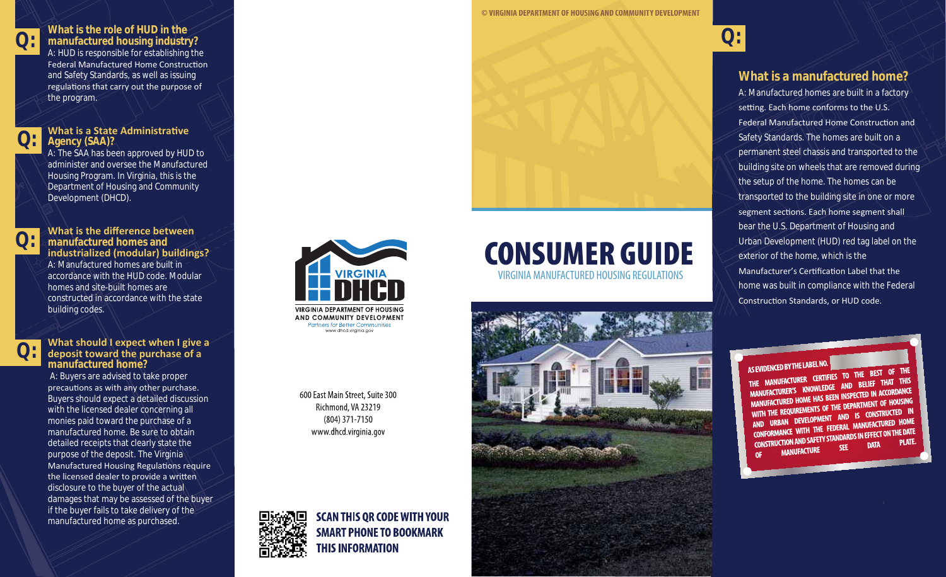

### **Q: What is the role of HUD in the manufactured housing industry?** A: HUD is responsible for establishing the

Federal Manufactured Home Construction and Safety Standards, as well as issuing regulations that carry out the purpose of the program.



# **What is a State Administrative Agency (SAA)?**

A: The SAA has been approved by HUD to administer and oversee the Manufactured Housing Program. In Virginia, this is the Department of Housing and Community Development (DHCD).



**What is the difference between manufactured homes and**  industrialized (modular) buildings? A: Manufactured homes are built in accordance with the HUD code. Modular homes and site-built homes are constructed in accordance with the state building codes.



### **What should I expect when I give a** deposit toward the purchase of a **manufactured home?**

 A: Buyers are advised to take proper precautions as with any other purchase. Buyers should expect a detailed discussion with the licensed dealer concerning all monies paid toward the purchase of a manufactured home. Be sure to obtain detailed receipts that clearly state the purpose of the deposit. The Virginia Manufactured Housing Regulations require the licensed dealer to provide a written disclosure to the buyer of the actual damages that may be assessed of the buyer if the buyer fails to take delivery of the manufactured home as purchased.



**Partners for Better Communities** www.dhcd.virginia.gov

600 East Main Street, Suite 300 Richmond, VA 23219 (804) 371-7150 www.dhcd.virginia.gov

> **SCAN THIS OR CODE WITH YOUR SMART PHONE TO BOOKMARK**

**THIS INFORMATION** 





#### **© VIRGINIA DEPARTMENT OF HOUSING AND COMMUNITY DEVELOPMENT USING COMM**



# **What is a manufactured home?**

A: Manufactured homes are built in a factory setting. Each home conforms to the U.S. Federal Manufactured Home Construction and Safety Standards. The homes are built on a permanent steel chassis and transported to the building site on wheels that are removed during the setup of the home. The homes can be transported to the building site in one or more segment sections. Each home segment shall bear the U.S. Department of Housing and Urban Development (HUD) red tag label on the exterior of the home, which is the Manufacturer's Certification Label that the home was built in compliance with the Federal Construction Standards, or HUD code.

AS EVIDENCED BY THE LABEL NO. AS EVIDENCED BY THE LABELTING TO THE BEST OF THE THE MANUFACTURER CERTIFIES IO THE BEST THAT THIS<br>MANUFACTURER'S KNOWLEDGE AND BELIEF THAT THIS

MANUFACTURER'S KNOWLEDGE AND BLUE MOORDANCE MANUFACTURED HOME HAS BEEN INSPECTED IN ACCORDING<br>WITH THE REQUIREMENTS OF THE DEPARTMENT OF HOUSING WITH THE REQUIREMENTS OF THE DEPARTMENT OF INCOMENT AND IS CONSTRUCTED IN AND URBAN DEVELOPMENT AND IS CONSITIONED HOME<br>CONFORMANCE WITH THE FEDERAL MANUFACTURED HOME<br>CONFORMANCE WITH THE FEDERAL MANUFACTURED AT CONFORMANCE WITH THE FEDERAL MANUFACTORS IN THE DATE<br>CONSTRUCTION AND SAFETY STANDARDS IN EFFECT ON THE DATE **SEE MANUFACTURE OF**